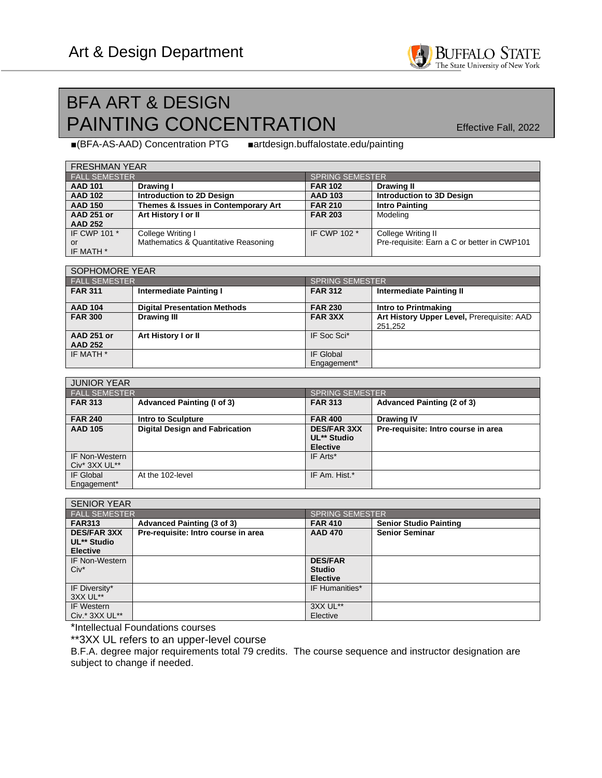## BFA ART & DESIGN PAINTING CONCENTRATION Effective Fall, 2022

■(BFA-AS-AAD) Concentration PTG ■artdesign.buffalostate.edu/painting

*b http://article.edu/ceramics.edu/ceramics.edu/ceramics.edu/ceramics.edu/ceramics.edu/ceramics.edu/ceramics.edu***/** 

| <b>FRESHMAN YEAR</b> |                                      |                        |                                             |  |  |
|----------------------|--------------------------------------|------------------------|---------------------------------------------|--|--|
| <b>FALL SEMESTER</b> |                                      | <b>SPRING SEMESTER</b> |                                             |  |  |
| <b>AAD 101</b>       | Drawing I                            | <b>FAR 102</b>         | <b>Drawing II</b>                           |  |  |
| <b>AAD 102</b>       | Introduction to 2D Design            | <b>AAD 103</b>         | Introduction to 3D Design                   |  |  |
| <b>AAD 150</b>       | Themes & Issues in Contemporary Art  | <b>FAR 210</b>         | <b>Intro Painting</b>                       |  |  |
| <b>AAD 251 or</b>    | Art History I or II                  | <b>FAR 203</b>         | Modeling                                    |  |  |
| <b>AAD 252</b>       |                                      |                        |                                             |  |  |
| IF CWP 101 *         | College Writing I                    | IF CWP 102 *           | College Writing II                          |  |  |
| or                   | Mathematics & Quantitative Reasoning |                        | Pre-requisite: Earn a C or better in CWP101 |  |  |
| IF MATH *            |                                      |                        |                                             |  |  |

| SOPHOMORE YEAR                      |                                     |                        |                                                       |  |  |
|-------------------------------------|-------------------------------------|------------------------|-------------------------------------------------------|--|--|
| <b>FALL SEMESTER</b>                |                                     | <b>SPRING SEMESTER</b> |                                                       |  |  |
| <b>FAR 311</b>                      | Intermediate Painting I             | <b>FAR 312</b>         | Intermediate Painting II                              |  |  |
| <b>AAD 104</b>                      | <b>Digital Presentation Methods</b> | <b>FAR 230</b>         | Intro to Printmaking                                  |  |  |
| <b>FAR 300</b>                      | <b>Drawing III</b>                  | <b>FAR 3XX</b>         | Art History Upper Level, Prerequisite: AAD<br>251,252 |  |  |
| <b>AAD 251 or</b><br><b>AAD 252</b> | Art History I or II                 | IF Soc Sci*            |                                                       |  |  |
| IF MATH *                           |                                     | IF Global              |                                                       |  |  |
|                                     |                                     | Engagement*            |                                                       |  |  |

| <b>JUNIOR YEAR</b>                        |                                       |                                                      |                                     |  |  |
|-------------------------------------------|---------------------------------------|------------------------------------------------------|-------------------------------------|--|--|
| <b>FALL SEMESTER</b>                      |                                       | <b>SPRING SEMESTER</b>                               |                                     |  |  |
| <b>FAR 313</b>                            | <b>Advanced Painting (I of 3)</b>     | <b>FAR 313</b>                                       | Advanced Painting (2 of 3)          |  |  |
| <b>FAR 240</b>                            | Intro to Sculpture                    | <b>FAR 400</b>                                       | <b>Drawing IV</b>                   |  |  |
| <b>AAD 105</b>                            | <b>Digital Design and Fabrication</b> | <b>DES/FAR 3XX</b><br>UL** Studio<br><b>Elective</b> | Pre-requisite: Intro course in area |  |  |
| <b>IF Non-Western</b><br>$Civ^*$ 3XX UL** |                                       | IF Arts*                                             |                                     |  |  |
| IF Global<br>Engagement*                  | At the 102-level                      | IF Am. Hist.*                                        |                                     |  |  |

| <b>SENIOR YEAR</b>    |                                     |                        |                               |  |
|-----------------------|-------------------------------------|------------------------|-------------------------------|--|
| <b>FALL SEMESTER</b>  |                                     | <b>SPRING SEMESTER</b> |                               |  |
| <b>FAR313</b>         | Advanced Painting (3 of 3)          | <b>FAR 410</b>         | <b>Senior Studio Painting</b> |  |
| <b>DES/FAR 3XX</b>    | Pre-requisite: Intro course in area | <b>AAD 470</b>         | <b>Senior Seminar</b>         |  |
| UL** Studio           |                                     |                        |                               |  |
| <b>Elective</b>       |                                     |                        |                               |  |
| <b>IF Non-Western</b> |                                     | <b>DES/FAR</b>         |                               |  |
| $Civ^*$               |                                     | <b>Studio</b>          |                               |  |
|                       |                                     | <b>Elective</b>        |                               |  |
| IF Diversity*         |                                     | IF Humanities*         |                               |  |
| 3XX UL**              |                                     |                        |                               |  |
| IF Western            |                                     | 3XX UL**               |                               |  |
| Civ.* 3XX UL**        |                                     | Elective               |                               |  |

\*Intellectual Foundations courses

\*\*3XX UL refers to an upper-level course

B.F.A. degree major requirements total 79 credits. The course sequence and instructor designation are subject to change if needed.